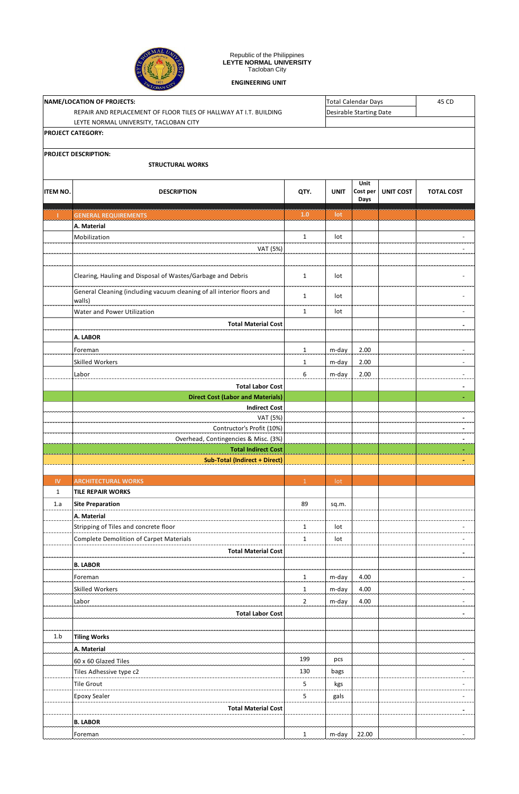

## Republic of the Philippines **LEYTE NORMAL UNIVERSITY** Tacloban City

**ENGINEERING UNIT**

|                            | CLOBAN CIT                                                                       |                |                            |                  |                         |                          |  |  |
|----------------------------|----------------------------------------------------------------------------------|----------------|----------------------------|------------------|-------------------------|--------------------------|--|--|
| NAME/LOCATION OF PROJECTS: |                                                                                  |                | <b>Total Calendar Days</b> | 45 CD            |                         |                          |  |  |
|                            | REPAIR AND REPLACEMENT OF FLOOR TILES OF HALLWAY AT I.T. BUILDING                |                |                            |                  | Desirable Starting Date |                          |  |  |
|                            | LEYTE NORMAL UNIVERSITY, TACLOBAN CITY                                           |                |                            |                  |                         |                          |  |  |
|                            | PROJECT CATEGORY:                                                                |                |                            |                  |                         |                          |  |  |
|                            | PROJECT DESCRIPTION:                                                             |                |                            |                  |                         |                          |  |  |
|                            | <b>STRUCTURAL WORKS</b>                                                          |                |                            |                  |                         |                          |  |  |
|                            |                                                                                  |                |                            |                  |                         |                          |  |  |
|                            |                                                                                  |                | <b>UNIT</b>                | Unit<br>Cost per |                         |                          |  |  |
| <b>ITEM NO.</b>            | <b>DESCRIPTION</b>                                                               | QTY.           |                            | Days             | <b>UNIT COST</b>        | <b>TOTAL COST</b>        |  |  |
| т.                         | <b>GENERAL REQUIREMENTS</b>                                                      | 1.0            | lot                        |                  |                         |                          |  |  |
|                            | A. Material                                                                      |                |                            |                  |                         |                          |  |  |
|                            | Mobilization                                                                     | $\mathbf{1}$   | lot                        |                  |                         |                          |  |  |
|                            | VAT (5%)                                                                         |                |                            |                  |                         | $\blacksquare$           |  |  |
|                            |                                                                                  |                |                            |                  |                         |                          |  |  |
|                            |                                                                                  |                |                            |                  |                         |                          |  |  |
|                            | Clearing, Hauling and Disposal of Wastes/Garbage and Debris                      | $\mathbf{1}$   | lot                        |                  |                         |                          |  |  |
|                            | General Cleaning (including vacuum cleaning of all interior floors and<br>walls) | $\mathbf{1}$   | lot                        |                  |                         |                          |  |  |
|                            | Water and Power Utilization                                                      | $\mathbf{1}$   | lot                        |                  |                         | $\overline{\phantom{a}}$ |  |  |
|                            | <b>Total Material Cost</b>                                                       |                |                            |                  |                         | $\blacksquare$           |  |  |
|                            | A. LABOR                                                                         |                |                            |                  |                         |                          |  |  |
|                            | Foreman                                                                          | $\mathbf{1}$   | m-day                      | 2.00             |                         | ÷,                       |  |  |
|                            | <b>Skilled Workers</b>                                                           | $\mathbf{1}$   |                            |                  |                         |                          |  |  |
|                            |                                                                                  | 6              | m-day                      | 2.00             |                         | $\overline{\phantom{a}}$ |  |  |
|                            | Labor                                                                            |                | m-day                      | 2.00             |                         | $\overline{\phantom{m}}$ |  |  |
|                            | <b>Total Labor Cost</b>                                                          |                |                            |                  |                         | $\blacksquare$           |  |  |
|                            | <b>Direct Cost (Labor and Materials)</b><br><b>Indirect Cost</b>                 |                |                            |                  |                         | ٠.                       |  |  |
|                            | VAT (5%)                                                                         |                |                            |                  |                         | ٠                        |  |  |
|                            | Contructor's Profit (10%)                                                        |                |                            |                  |                         | ۰                        |  |  |
|                            | Overhead, Contingencies & Misc. (3%)                                             |                |                            |                  |                         | $\blacksquare$           |  |  |
|                            | <b>Total Indirect Cost</b>                                                       |                |                            |                  |                         | ٠                        |  |  |
|                            | <b>Sub-Total (Indirect + Direct)</b>                                             |                |                            |                  |                         |                          |  |  |
|                            |                                                                                  |                |                            |                  |                         |                          |  |  |
| <b>IV</b>                  | <b>ARCHITECTURAL WORKS</b>                                                       | $\mathbf{1}$   | lot                        |                  |                         |                          |  |  |
| $\mathbf{1}$               | <b>TILE REPAIR WORKS</b>                                                         |                |                            |                  |                         |                          |  |  |
| 1.a                        | <b>Site Preparation</b>                                                          | 89             | sq.m.                      |                  |                         |                          |  |  |
|                            | A. Material                                                                      |                |                            |                  |                         |                          |  |  |
|                            | Stripping of Tiles and concrete floor                                            | $\mathbf{1}$   | lot                        |                  |                         |                          |  |  |
|                            | <b>Complete Demolition of Carpet Materials</b>                                   | $\mathbf{1}$   | lot                        |                  |                         | ÷,                       |  |  |
|                            | <b>Total Material Cost</b>                                                       |                |                            |                  |                         | $\blacksquare$           |  |  |
|                            | <b>B. LABOR</b>                                                                  |                |                            |                  |                         |                          |  |  |
|                            | Foreman                                                                          | $\mathbf{1}$   | m-day                      | 4.00             |                         | $\overline{\phantom{a}}$ |  |  |
|                            | Skilled Workers                                                                  | $\mathbf{1}$   | m-day                      | 4.00             |                         | $\overline{\phantom{a}}$ |  |  |
|                            | Labor                                                                            | $\overline{2}$ | m-day                      | 4.00             |                         | $\overline{\phantom{a}}$ |  |  |
|                            | <b>Total Labor Cost</b>                                                          |                |                            |                  |                         | $\sim$                   |  |  |
|                            |                                                                                  |                |                            |                  |                         |                          |  |  |
| 1.b                        | <b>Tiling Works</b>                                                              |                |                            |                  |                         |                          |  |  |
|                            | A. Material                                                                      |                |                            |                  |                         |                          |  |  |
|                            | 60 x 60 Glazed Tiles                                                             | 199            | pcs                        |                  |                         |                          |  |  |
|                            | Tiles Adhessive type c2                                                          | 130            | bags                       |                  |                         | $\blacksquare$           |  |  |
|                            | <b>Tile Grout</b>                                                                | 5              | kgs                        |                  |                         | ÷                        |  |  |
|                            | <b>Epoxy Sealer</b>                                                              | 5              | gals                       |                  |                         | $\overline{\phantom{a}}$ |  |  |
|                            | <b>Total Material Cost</b>                                                       |                |                            |                  |                         | ٠                        |  |  |
|                            | <b>B. LABOR</b>                                                                  |                |                            |                  |                         |                          |  |  |
|                            | Foreman                                                                          | $\mathbf{1}$   | m-day                      | 22.00            |                         |                          |  |  |
|                            |                                                                                  |                |                            |                  |                         |                          |  |  |